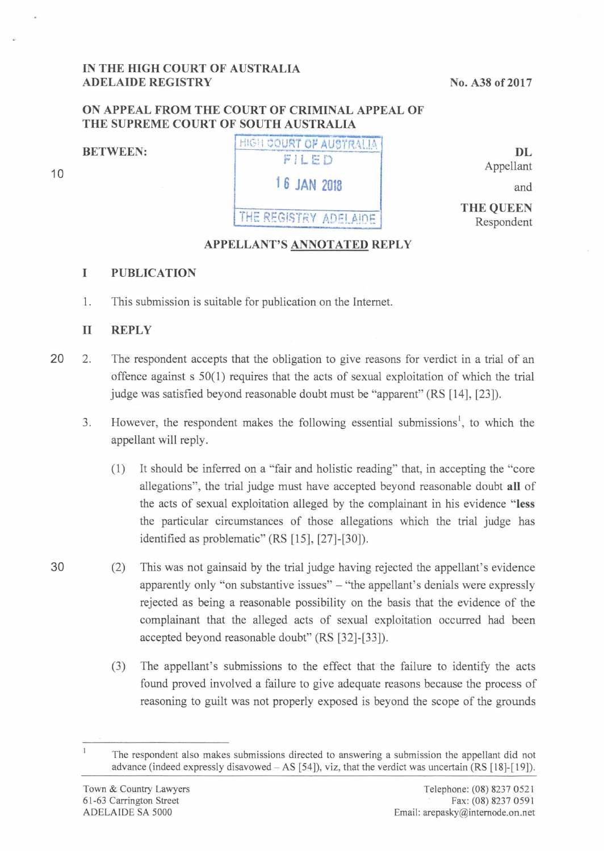## **IN THE HIGH COURT OF AUSTRALIA ADELAIDE REGISTRY**

## **ON APPEAL FROM THE COURT OF CRIMINAL APPEAL OF THE SUPREME COURT OF SOUTH AUSTRALIA**

| <b>BETWEEN:</b> |
|-----------------|
|-----------------|

10

**HIGH COURT OF AUSTRALIA**<br>FILED **1 6 JAN 2018** 

THE REGISTRY ADELAIDE

and **THE QUEEN**  Respondent

Appellant

 $DI$ 

# **APPELLANT'S ANNOTATED REPLY**

## **I PUBLICATION**

1. This submission is suitable for publication on the Internet.

## **11 REPLY**

- 20 2. The respondent accepts that the obligation to give reasons for verdict in a trial of an offence against s 50(1) requires that the acts of sexual exploitation of which the trial judge was satisfied beyond reasonable doubt must be "apparent" (RS (14], (23]).
	- 3. However, the respondent makes the following essential submissions' , to which the appellant will reply.
		- (1) It should be inferred on a "fair and holistic reading" that, in accepting the "core allegations", the trial judge must have accepted beyond reasonable doubt **all** of the acts of sexual exploitation alleged by the complainant in his evidence **"less**  the particular circumstances of those allegations which the trial judge has identified as problematic" (RS [15], (27]-(30]).
- 30 (2) This was not gainsaid by the trial judge having rejected the appellant's evidence apparently only "on substantive issues"- "the appellant's denials were expressly rejected as being a reasonable possibility on the basis that the evidence of the complainant that the alleged acts of sexual exploitation occurred had been accepted beyond reasonable doubt" (RS (32]-[33]).
	- (3) The appellant's submissions to the effect that the failure to identify the acts found proved involved a failure to give adequate reasons because the process of reasoning to guilt was not properly exposed is beyond the scope of the grounds

 $\mathbf{1}$ The respondent also makes submissions directed to answering a submission the appellant did not advance (indeed expressly disavowed - AS [54]), viz, that the verdict was uncertain (RS [18]-[19]).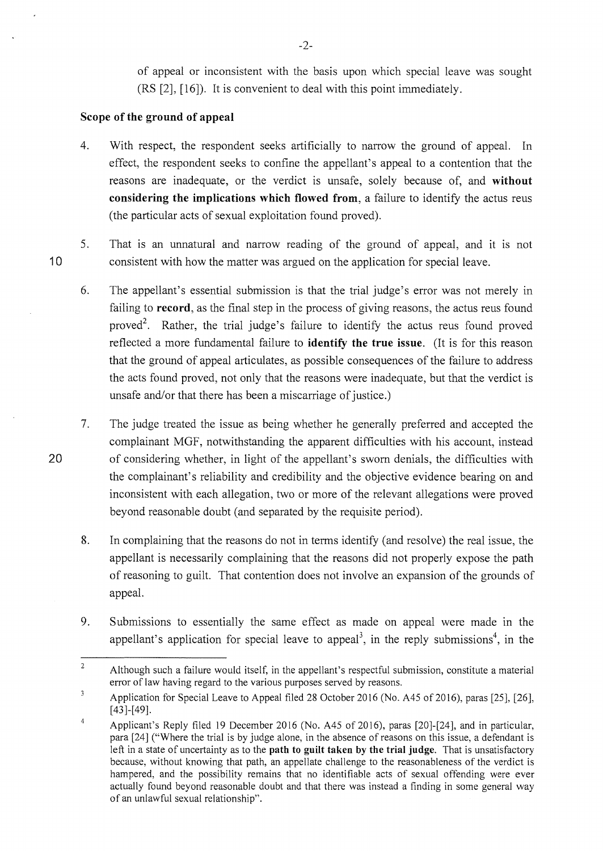of appeal or inconsistent with the basis upon which special leave was sought (RS [2], [16]). It is convenient to deal with this point immediately.

#### **Scope of the ground of appeal**

- 4. With respect, the respondent seeks artificially to narrow the ground of appeal. In effect, the respondent seeks to confine the appellant's appeal to a contention that the reasons are inadequate, or the verdict is unsafe, solely because of, and **without considering the implications which flowed from,** a failure to identify the actus reus (the particular acts of sexual exploitation found proved).
- 5. That is an unnatural and narrow reading of the ground of appeal, and it is not consistent with how the matter was argued on the application for special leave.
- 6. The appellant's essential submission is that the trial judge's error was not merely in failing to **record,** as the final step in the process of giving reasons, the actus reus found proved<sup>2</sup>. Rather, the trial judge's failure to identify the actus reus found proved reflected a more fundamental failure to **identify the true issue.** (It is for this reason that the ground of appeal articulates, as possible consequences of the failure to address the acts found proved, not only that the reasons were inadequate, but that the verdict is unsafe and/or that there has been a miscarriage of justice.)
- 7. The judge treated the issue as being whether he generally preferred and accepted the complainant MGF, notwithstanding the apparent difficulties with his account, instead 20 of considering whether, in light of the appellant's sworn denials, the difficulties with the complainant's reliability and credibility and the objective evidence bearing on and inconsistent with each allegation, two or more of the relevant allegations were proved beyond reasonable doubt (and separated by the requisite period).
	- 8. In complaining that the reasons do not in terms identify (and resolve) the real issue, the appellant is necessarily complaining that the reasons did not properly expose the path of reasoning to guilt. That contention does not involve an expansion of the grounds of appeal.
	- 9. Submissions to essentially the same effect as made on appeal were made in the appellant's application for special leave to appeal<sup>3</sup>, in the reply submissions<sup>4</sup>, in the

10

<sup>2</sup>  Although such a failure would itself, in the appellant's respectful submission, constitute a material error of law having regard to the various purposes served by reasons.

 $\overline{\mathbf{3}}$ Application for Special Leave to Appeal filed 28 October 2016 (No. A45 of 2016), paras [25], [26],  $[43]$ - $[49]$ .

<sup>4</sup>  Applicant's Reply filed 19 December 2016 (No. A45 of 2016), paras [20]-[24], and in particular, para [24] ("Where the trial is by judge alone, in the absence of reasons on this issue, a defendant is left in a state of uncertainty as to the **path to guilt taken by the trial judge.** That is unsatisfactory because, without knowing that path, an appellate challenge to the reasonableness of the verdict is hampered, and the possibility remains that no identifiable acts of sexual offending were ever actually found beyond reasonable doubt and that there was instead a finding in some general way of an unlawful sexual relationship".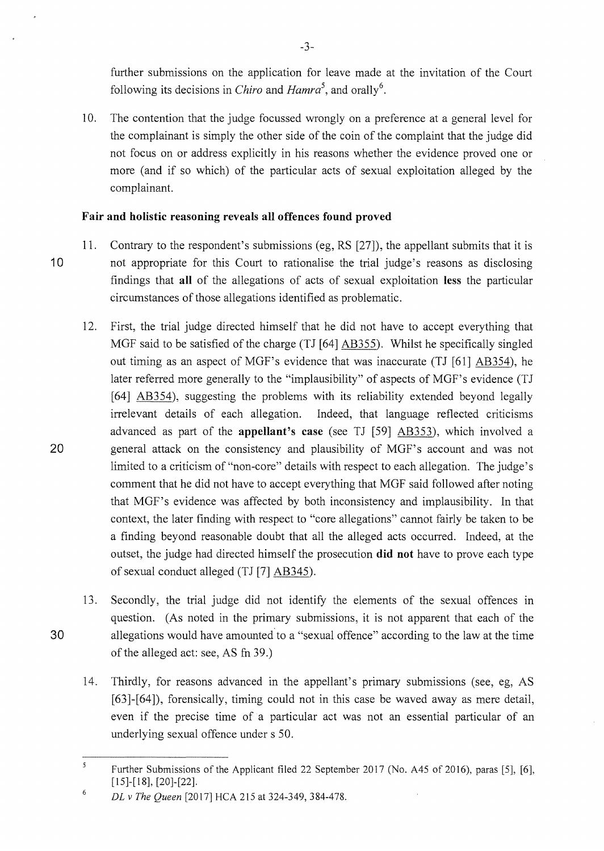further submissions on the application for leave made at the invitation of the Court following its decisions in *Chiro* and *Hamra*<sup>5</sup>, and orally<sup>6</sup>.

10. The contention that the judge focussed wrongly on a preference at a general level for the complainant is simply the other side of the coin of the complaint that the judge did not focus on or address explicitly in his reasons whether the evidence proved one or more (and if so which) of the particular acts of sexual exploitation alleged by the complainant.

## **Fair and holistic reasoning reveals all offences found proved**

- 11. Contrary to the respondent's submissions (eg, RS [27]), the appellant submits that it is 10 not appropriate for this Court to rationalise the trial judge's reasons as disclosing findings that **all** of the allegations of acts of sexual exploitation **less** the particular circumstances of those allegations identified as problematic.
- 12. First, the trial judge directed himself that he did not have to accept everything that MGF said to be satisfied of the charge (TJ [64] AB355). Whilst he specifically singled out timing as an aspect of MGF's evidence that was inaccurate (TJ [61] AB354), he later referred more generally to the "implausibility" of aspects of MGF's evidence (TJ [64] AB354), suggesting the problems with its reliability extended beyond legally irrelevant details of each allegation. Indeed, that language reflected criticisms advanced as part of the **appellant's case** (see TJ [59] AB353), which involved a **20** general attack on the consistency and plausibility of MGF's account and was not limited to a criticism of "non-core" details with respect to each allegation. The judge's comment that he did not have to accept everything that MGF said followed after noting that MGF's evidence was affected by both inconsistency and implausibility. In that context, the later finding with respect to "core allegations" cannot fairly be taken to be a finding beyond reasonable doubt that all the alleged acts occurred. Indeed, at the outset, the judge had directed himself the prosecution **did not** have to prove each type of sexual conduct alleged (TJ [7] AB345).
- 13. Secondly, the trial judge did not identify the elements of the sexual offences in question. (As noted in the primary submissions, it is not apparent that each of the **30** allegations would have amounted to a "sexual offence" according to the law at the time of the alleged act: see, AS fn 39.)
	- 14. Thirdly, for reasons advanced in the appellant's primary submissions (see, eg, AS [63]-[64]), forensically, timing could not in this case be waved away as mere detail, even if the precise time of a particular act was not an essential particular of an underlying sexual offence under s 50.

 $\overline{5}$ Further Submissions of the Applicant filed 22 September 2017 (No. A45 of 2016), paras [5], [6], [ 15]-[ 18], [20]-[22].

<sup>6</sup>  *DL v The Queen* [2017] HCA 215 at 324-349,384-478.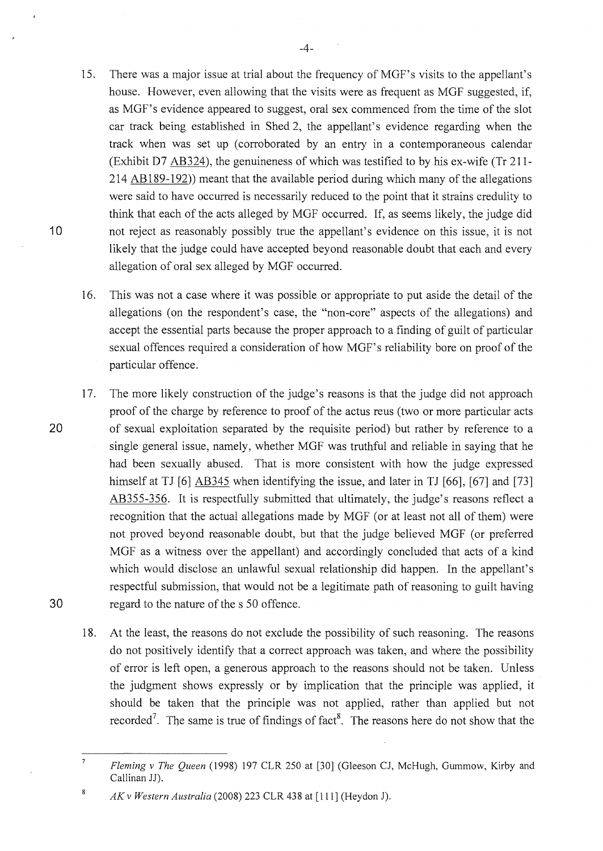- 15. There was a major issue at trial about the frequency of MGF's visits to the appellant's house. However, even allowing that the visits were as frequent as MGF suggested, if, as MGF's evidence appeared to suggest, oral sex commenced from the time of the slot car track being established in Shed 2, the appellant's evidence regarding when the track when was set up (corroborated by an entry in a contemporaneous calendar (Exhibit 07 AB324), the genuineness of which was testified to by his ex-wife (Tr 211- 214 AB 189-192)) meant that the available period during which many of the allegations were said to have occurred is necessarily reduced to the point that it strains credulity to think that each of the acts alleged by MGF occurred. If, as seems likely, the judge did 10 not reject as reasonably possibly true the appellant's evidence on this issue, it is not likely that the judge could have accepted beyond reasonable doubt that each and every
	- 16. This was not a case where it was possible or appropriate to put aside the detail of the allegations (on the respondent's case, the "non-core" aspects of the allegations) and accept the essential parts because the proper approach to a finding of guilt of particular sexual offences required a consideration of how MGF's reliability bore on proof of the particular offence.

allegation of oral sex alleged by MGF occurred.

- 17. The more likely construction of the judge's reasons is that the judge did not approach proof of the charge by reference to proof of the actus reus (two or more particular acts 20 of sexual exploitation separated by the requisite period) but rather by reference to a single general issue, namely, whether MGF was truthful and reliable in saying that he had been sexually abused. That is more consistent with how the judge expressed himself at TJ [6] AB345 when identifying the issue, and later in TJ [66], [67] and [73] AB355-356. It is respectfully submitted that ultimately, the judge's reasons reflect a recognition that the actual allegations made by MGF (or at least not all of them) were not proved beyond reasonable doubt, but that the judge believed MGF (or preferred MGF as a witness over the appellant) and accordingly concluded that acts of a kind which would disclose an unlawful sexual relationship did happen. In the appellant's respectful submission, that would not be a legitimate path of reasoning to guilt having 30 regard to the nature of the s 50 offence.
	- 18. At the least, the reasons do not exclude the possibility of such reasoning. The reasons do not positively identify that a correct approach was taken, and where the possibility of error is left open, a generous approach to the reasons should not be taken. Unless the judgment shows expressly or by implication that the principle was applied, it should be taken that the principle was not applied, rather than applied but not recorded<sup>7</sup>. The same is true of findings of fact<sup>8</sup>. The reasons here do not show that the

*Fleming v The Queen* (1998) 197 CLR 250 at [30] (Gleeson CJ, McHugh, Gummow, Kirby and Callinan JJ).

<sup>8</sup>  *AK v Western Australia* (2008) 223 CLR 438 at [111] (Heydon J).